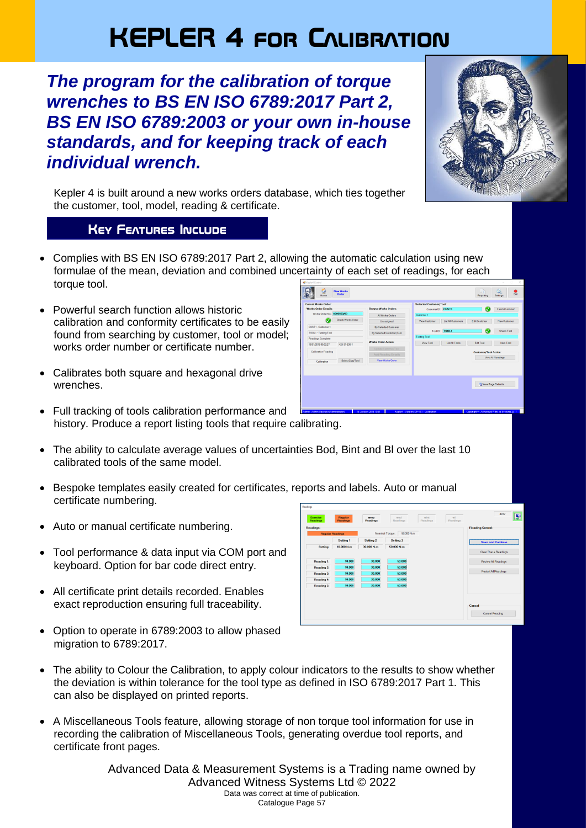# **KEPLER 4 for Calibration**

# *The program for the calibration of torque wrenches to BS EN ISO 6789:2017 Part 2, BS EN ISO 6789:2003 or your own in-house standards, and for keeping track of each individual wrench.*



Save Page Defaults

Kepler 4 is built around a new works orders database, which ties together the customer, tool, model, reading & certificate.

## **Key Features Include**

**Maria** 

• Complies with BS EN ISO 6789:2017 Part 2, allowing the automatic calculation using new formulae of the mean, deviation and combined uncertainty of each set of readings, for each torque tool. B.  $\circ$ New Works<br>Order Reporting Settings Est

 $\bullet$ 

- Powerful search function allows historic calibration and conformity certificates to be easily found from searching by customer, tool or model; works order number or certificate number.
- Calibrates both square and hexagonal drive wrenches.
- Full tracking of tools calibration performance and history. Produce a report listing tools that require calibrating.
- The ability to calculate average values of uncertainties Bod. Bint and BI over the last 10 calibrated tools of the same model.
- Bespoke templates easily created for certificates, reports and labels. Auto or manual certificate numbering.
- Auto or manual certificate numbering.
- Tool performance & data input via COM port and keyboard. Option for bar code direct entry.
- All certificate print details recorded. Enables exact reproduction ensuring full traceability.
- Option to operate in 6789:2003 to allow phased migration to 6789:2017.



- The ability to Colour the Calibration, to apply colour indicators to the results to show whether the deviation is within tolerance for the tool type as defined in ISO 6789:2017 Part 1. This can also be displayed on printed reports.
- A Miscellaneous Tools feature, allowing storage of non torque tool information for use in recording the calibration of Miscellaneous Tools, generating overdue tool reports, and certificate front pages.

Advanced Data & Measurement Systems is a Trading name owned by Advanced Witness Systems Ltd © 2022 Data was correct at time of publication. Catalogue Page 57